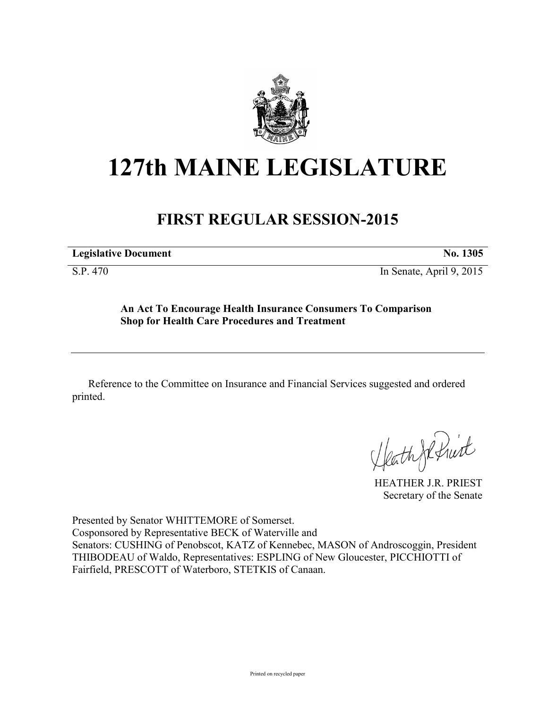

## **127th MAINE LEGISLATURE**

## **FIRST REGULAR SESSION-2015**

**Legislative Document No. 1305** 

S.P. 470 In Senate, April 9, 2015

**An Act To Encourage Health Insurance Consumers To Comparison Shop for Health Care Procedures and Treatment**

Reference to the Committee on Insurance and Financial Services suggested and ordered printed.

HeathJefruit

HEATHER J.R. PRIEST Secretary of the Senate

Presented by Senator WHITTEMORE of Somerset. Cosponsored by Representative BECK of Waterville and Senators: CUSHING of Penobscot, KATZ of Kennebec, MASON of Androscoggin, President THIBODEAU of Waldo, Representatives: ESPLING of New Gloucester, PICCHIOTTI of Fairfield, PRESCOTT of Waterboro, STETKIS of Canaan.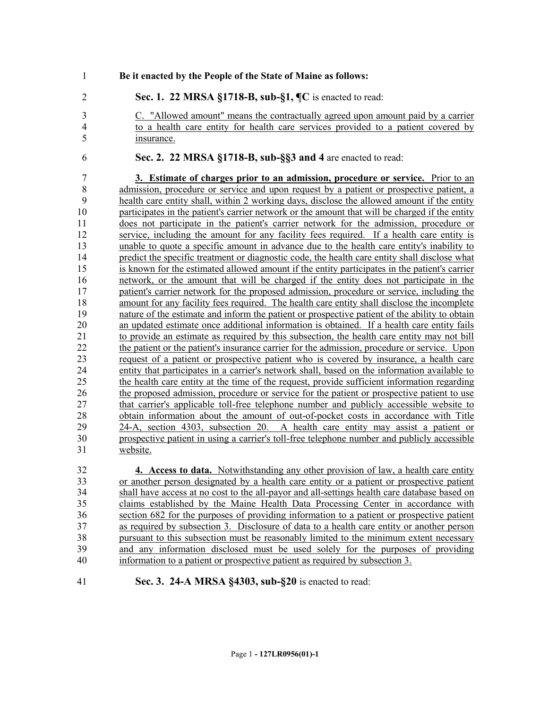- **Be it enacted by the People of the State of Maine as follows:**
- **Sec. 1. 22 MRSA §1718-B, sub-§1, ¶C** is enacted to read:
- 

- C. "Allowed amount" means the contractually agreed upon amount paid by a carrier to a health care entity for health care services provided to a patient covered by insurance.
- **Sec. 2. 22 MRSA §1718-B, sub-§§3 and 4** are enacted to read:

 **3. Estimate of charges prior to an admission, procedure or service.** Prior to an 8 admission, procedure or service and upon request by a patient or prospective patient, a health care entity shall, within 2 working days, disclose the allowed amount if the entity participates in the patient's carrier network or the amount that will be charged if the entity does not participate in the patient's carrier network for the admission, procedure or service, including the amount for any facility fees required. If a health care entity is unable to quote a specific amount in advance due to the health care entity's inability to predict the specific treatment or diagnostic code, the health care entity shall disclose what is known for the estimated allowed amount if the entity participates in the patient's carrier network, or the amount that will be charged if the entity does not participate in the patient's carrier network for the proposed admission, procedure or service, including the amount for any facility fees required. The health care entity shall disclose the incomplete 19 nature of the estimate and inform the patient or prospective patient of the ability to obtain<br>20 an updated estimate once additional information is obtained. If a health care entity fails an updated estimate once additional information is obtained. If a health care entity fails to provide an estimate as required by this subsection, the health care entity may not bill the patient or the patient's insurance carrier for the admission, procedure or service. Upon request of a patient or prospective patient who is covered by insurance, a health care entity that participates in a carrier's network shall, based on the information available to the health care entity at the time of the request, provide sufficient information regarding the proposed admission, procedure or service for the patient or prospective patient to use that carrier's applicable toll-free telephone number and publicly accessible website to obtain information about the amount of out-of-pocket costs in accordance with Title 24-A, section 4303, subsection 20. A health care entity may assist a patient or prospective patient in using a carrier's toll-free telephone number and publicly accessible website.

 **4. Access to data.** Notwithstanding any other provision of law, a health care entity or another person designated by a health care entity or a patient or prospective patient shall have access at no cost to the all-payor and all-settings health care database based on claims established by the Maine Health Data Processing Center in accordance with section 682 for the purposes of providing information to a patient or prospective patient as required by subsection 3. Disclosure of data to a health care entity or another person pursuant to this subsection must be reasonably limited to the minimum extent necessary and any information disclosed must be used solely for the purposes of providing information to a patient or prospective patient as required by subsection 3.

**Sec. 3. 24-A MRSA §4303, sub-§20** is enacted to read: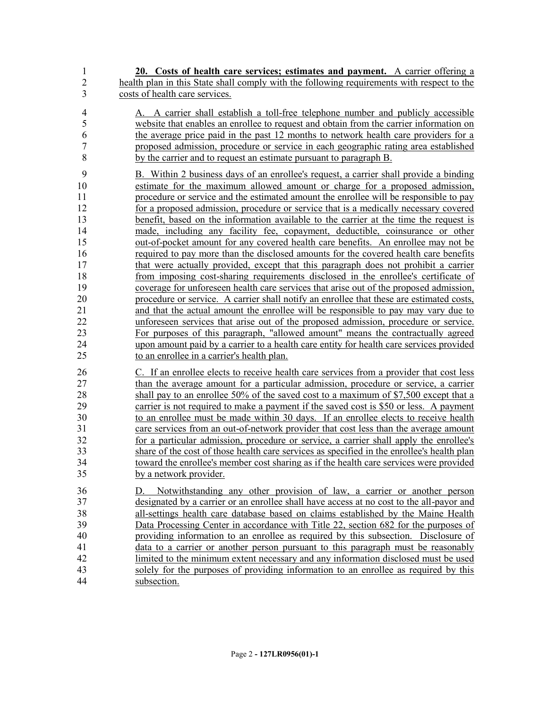**20. Costs of health care services; estimates and payment.** A carrier offering a health plan in this State shall comply with the following requirements with respect to the costs of health care services.

 A. A carrier shall establish a toll-free telephone number and publicly accessible website that enables an enrollee to request and obtain from the carrier information on the average price paid in the past 12 months to network health care providers for a proposed admission, procedure or service in each geographic rating area established by the carrier and to request an estimate pursuant to paragraph B.

 B. Within 2 business days of an enrollee's request, a carrier shall provide a binding estimate for the maximum allowed amount or charge for a proposed admission, procedure or service and the estimated amount the enrollee will be responsible to pay for a proposed admission, procedure or service that is a medically necessary covered 13 benefit, based on the information available to the carrier at the time the request is made, including any facility fee, copayment, deductible, coinsurance or other out-of-pocket amount for any covered health care benefits. An enrollee may not be required to pay more than the disclosed amounts for the covered health care benefits that were actually provided, except that this paragraph does not prohibit a carrier from imposing cost-sharing requirements disclosed in the enrollee's certificate of coverage for unforeseen health care services that arise out of the proposed admission, procedure or service. A carrier shall notify an enrollee that these are estimated costs, and that the actual amount the enrollee will be responsible to pay may vary due to unforeseen services that arise out of the proposed admission, procedure or service. For purposes of this paragraph, "allowed amount" means the contractually agreed upon amount paid by a carrier to a health care entity for health care services provided to an enrollee in a carrier's health plan.

 C. If an enrollee elects to receive health care services from a provider that cost less 27 than the average amount for a particular admission, procedure or service, a carrier shall pay to an enrollee 50% of the saved cost to a maximum of \$7,500 except that a carrier is not required to make a payment if the saved cost is \$50 or less. A payment to an enrollee must be made within 30 days. If an enrollee elects to receive health care services from an out-of-network provider that cost less than the average amount for a particular admission, procedure or service, a carrier shall apply the enrollee's share of the cost of those health care services as specified in the enrollee's health plan toward the enrollee's member cost sharing as if the health care services were provided by a network provider.

 D. Notwithstanding any other provision of law, a carrier or another person designated by a carrier or an enrollee shall have access at no cost to the all-payor and all-settings health care database based on claims established by the Maine Health Data Processing Center in accordance with Title 22, section 682 for the purposes of providing information to an enrollee as required by this subsection. Disclosure of data to a carrier or another person pursuant to this paragraph must be reasonably limited to the minimum extent necessary and any information disclosed must be used solely for the purposes of providing information to an enrollee as required by this subsection.